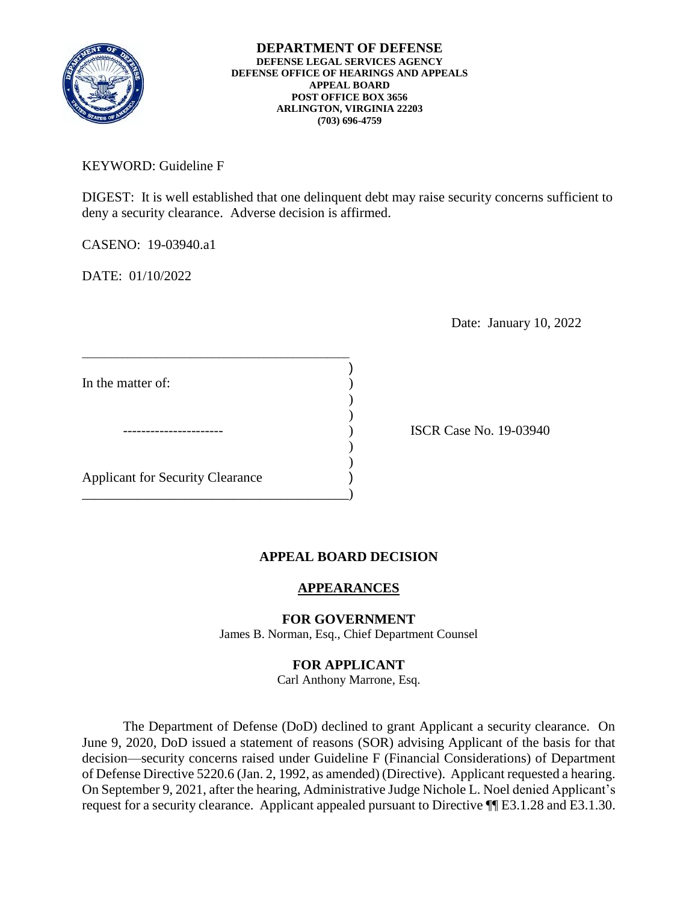

KEYWORD: Guideline F

 deny a security clearance. Adverse decision is affirmed. DIGEST: It is well established that one delinquent debt may raise security concerns sufficient to

CASENO: 19-03940.a1

DATE: 01/10/2022

Date: January 10, 2022

| In the matter of:                       |  |
|-----------------------------------------|--|
|                                         |  |
|                                         |  |
|                                         |  |
| <b>Applicant for Security Clearance</b> |  |
|                                         |  |

\_\_\_\_\_\_\_\_\_\_\_\_\_\_\_\_\_\_\_\_\_\_\_\_\_\_\_\_\_\_\_\_\_\_\_\_\_\_\_\_\_\_\_\_\_\_\_

ISCR Case No. 19-03940

## **APPEAL BOARD DECISION**

## **APPEARANCES**

## **FOR GOVERNMENT**

James B. Norman, Esq., Chief Department Counsel

## **FOR APPLICANT**

Carl Anthony Marrone, Esq.

 The Department of Defense (DoD) declined to grant Applicant a security clearance. On June 9, 2020, DoD issued a statement of reasons (SOR) advising Applicant of the basis for that decision—security concerns raised under Guideline F (Financial Considerations) of Department of Defense Directive 5220.6 (Jan. 2, 1992, as amended) (Directive). Applicant requested a hearing. On September 9, 2021, after the hearing, Administrative Judge Nichole L. Noel denied Applicant's request for a security clearance. Applicant appealed pursuant to Directive  $\P$ [E3.1.28 and E3.1.30.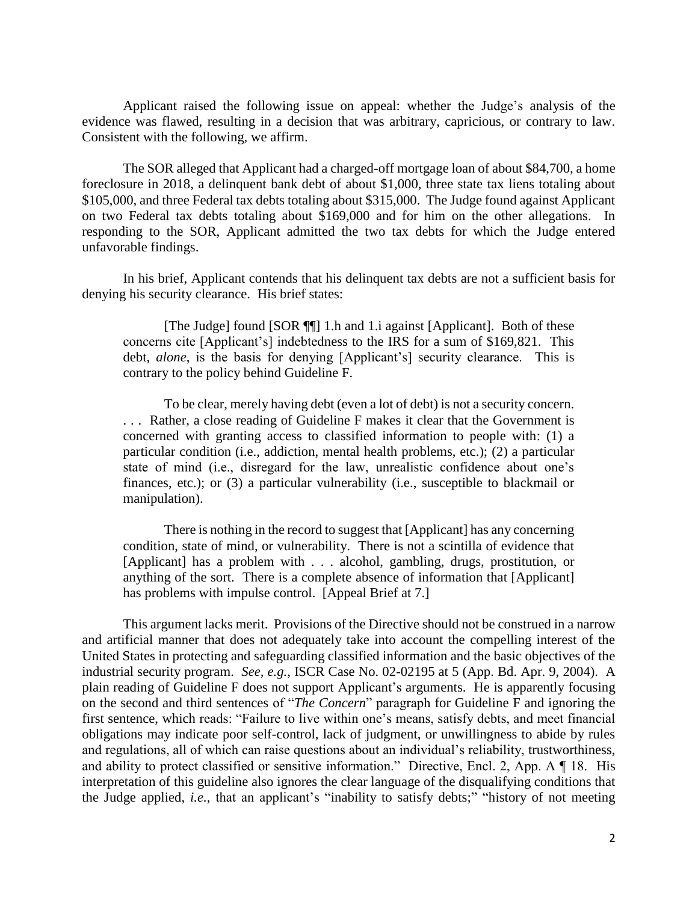Applicant raised the following issue on appeal: whether the Judge's analysis of the evidence was flawed, resulting in a decision that was arbitrary, capricious, or contrary to law. Consistent with the following, we affirm.

 The SOR alleged that Applicant had a charged-off mortgage loan of about \$84,700, a home foreclosure in 2018, a delinquent bank debt of about \$1,000, three state tax liens totaling about \$105,000, and three Federal tax debts totaling about \$315,000. The Judge found against Applicant on two Federal tax debts totaling about \$169,000 and for him on the other allegations. In responding to the SOR, Applicant admitted the two tax debts for which the Judge entered unfavorable findings.

 In his brief, Applicant contends that his delinquent tax debts are not a sufficient basis for denying his security clearance. His brief states:

[The Judge] found [SOR ¶] 1.h and 1.i against [Applicant]. Both of these concerns cite [Applicant's] indebtedness to the IRS for a sum of \$169,821. This debt, *alone*, is the basis for denying [Applicant's] security clearance. This is contrary to the policy behind Guideline F.

 To be clear, merely having debt (even a lot of debt) is not a security concern. . . . Rather, a close reading of Guideline F makes it clear that the Government is concerned with granting access to classified information to people with: (1) a particular condition (i.e., addiction, mental health problems, etc.); (2) a particular state of mind (i.e., disregard for the law, unrealistic confidence about one's finances, etc.); or (3) a particular vulnerability (i.e., susceptible to blackmail or manipulation).

 There is nothing in the record to suggest that [Applicant] has any concerning condition, state of mind, or vulnerability. There is not a scintilla of evidence that [Applicant] has a problem with . . . alcohol, gambling, drugs, prostitution, or anything of the sort. There is a complete absence of information that [Applicant] has problems with impulse control. [Appeal Brief at 7.]

 This argument lacks merit. Provisions of the Directive should not be construed in a narrow and artificial manner that does not adequately take into account the compelling interest of the industrial security program. *See, e.g.*, ISCR Case No. 02-02195 at 5 (App. Bd. Apr. 9, 2004). A plain reading of Guideline F does not support Applicant's arguments. He is apparently focusing on the second and third sentences of "*The Concern*" paragraph for Guideline F and ignoring the obligations may indicate poor self-control, lack of judgment, or unwillingness to abide by rules and ability to protect classified or sensitive information." Directive, Encl. 2, App. A ¶ 18. His the Judge applied, *i.e.*, that an applicant's "inability to satisfy debts;" "history of not meeting United States in protecting and safeguarding classified information and the basic objectives of the first sentence, which reads: "Failure to live within one's means, satisfy debts, and meet financial and regulations, all of which can raise questions about an individual's reliability, trustworthiness, interpretation of this guideline also ignores the clear language of the disqualifying conditions that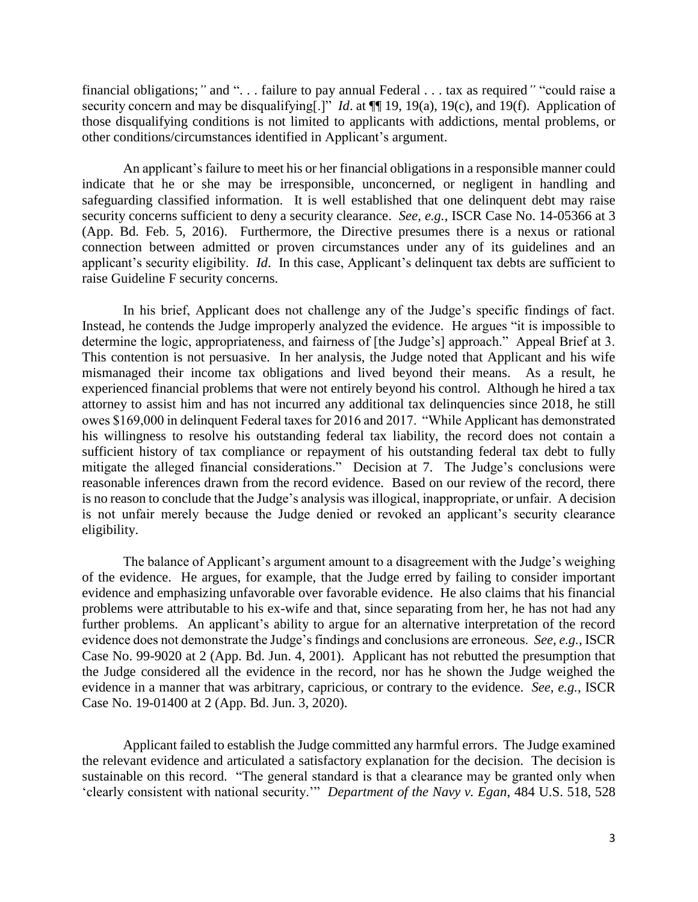financial obligations;*"* and ". . . failure to pay annual Federal . . . tax as required*"* "could raise a security concern and may be disqualifying[.]" *Id*. at ¶¶ 19, 19(a), 19(c), and 19(f). Application of those disqualifying conditions is not limited to applicants with addictions, mental problems, or other conditions/circumstances identified in Applicant's argument.

 An applicant's failure to meet his or her financial obligations in a responsible manner could indicate that he or she may be irresponsible, unconcerned, or negligent in handling and safeguarding classified information. It is well established that one delinquent debt may raise security concerns sufficient to deny a security clearance. *See, e.g.*, ISCR Case No. 14-05366 at 3 (App. Bd. Feb. 5, 2016). Furthermore, the Directive presumes there is a nexus or rational connection between admitted or proven circumstances under any of its guidelines and an applicant's security eligibility. *Id*. In this case, Applicant's delinquent tax debts are sufficient to raise Guideline F security concerns.

 In his brief, Applicant does not challenge any of the Judge's specific findings of fact. Instead, he contends the Judge improperly analyzed the evidence. He argues "it is impossible to determine the logic, appropriateness, and fairness of [the Judge's] approach." Appeal Brief at 3. This contention is not persuasive. In her analysis, the Judge noted that Applicant and his wife mismanaged their income tax obligations and lived beyond their means. As a result, he experienced financial problems that were not entirely beyond his control. Although he hired a tax attorney to assist him and has not incurred any additional tax delinquencies since 2018, he still owes \$169,000 in delinquent Federal taxes for 2016 and 2017. "While Applicant has demonstrated his willingness to resolve his outstanding federal tax liability, the record does not contain a sufficient history of tax compliance or repayment of his outstanding federal tax debt to fully mitigate the alleged financial considerations." Decision at 7. The Judge's conclusions were reasonable inferences drawn from the record evidence. Based on our review of the record, there is no reason to conclude that the Judge's analysis was illogical, inappropriate, or unfair. A decision is not unfair merely because the Judge denied or revoked an applicant's security clearance eligibility. eligibility. The balance of Applicant's argument amount to a disagreement with the Judge's weighing

 of the evidence. He argues, for example, that the Judge erred by failing to consider important problems were attributable to his ex-wife and that, since separating from her, he has not had any further problems. An applicant's ability to argue for an alternative interpretation of the record evidence does not demonstrate the Judge's findings and conclusions are erroneous. *See, e.g.*, ISCR Case No. 99-9020 at 2 (App. Bd. Jun. 4, 2001). Applicant has not rebutted the presumption that the Judge considered all the evidence in the record, nor has he shown the Judge weighed the evidence in a manner that was arbitrary, capricious, or contrary to the evidence. *See, e.g.*, ISCR evidence and emphasizing unfavorable over favorable evidence. He also claims that his financial Case No. 19-01400 at 2 (App. Bd. Jun. 3, 2020).

 Applicant failed to establish the Judge committed any harmful errors. The Judge examined the relevant evidence and articulated a satisfactory explanation for the decision. The decision is sustainable on this record. "The general standard is that a clearance may be granted only when 'clearly consistent with national security.'" *Department of the Navy v. Egan*, 484 U.S. 518, 528